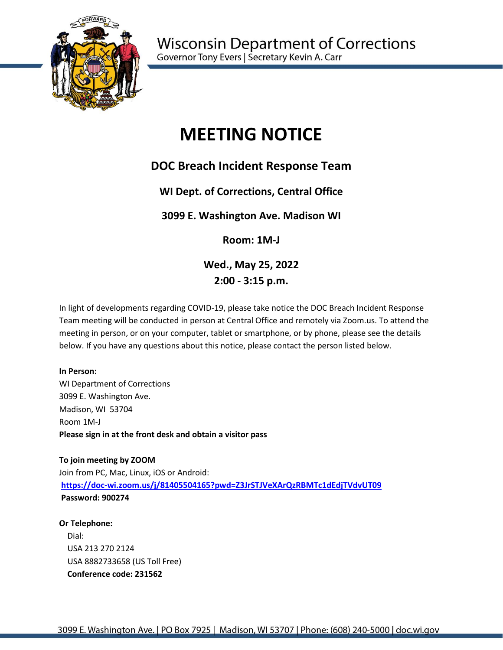

# **MEETING NOTICE**

## **DOC Breach Incident Response Team**

## **WI Dept. of Corrections, Central Office**

## **3099 E. Washington Ave. Madison WI**

**Room: 1M-J**

**Wed., May 25, 2022 2:00 - 3:15 p.m.**

In light of developments regarding COVID-19, please take notice the DOC Breach Incident Response Team meeting will be conducted in person at Central Office and remotely via Zoom.us. To attend the meeting in person, or on your computer, tablet or smartphone, or by phone, please see the details below. If you have any questions about this notice, please contact the person listed below.

#### **In Person:**

WI Department of Corrections 3099 E. Washington Ave. Madison, WI 53704 Room 1M-J **Please sign in at the front desk and obtain a visitor pass**

**To join meeting by ZOOM** Join from PC, Mac, Linux, iOS or Android: **<https://doc-wi.zoom.us/j/81405504165?pwd=Z3JrSTJVeXArQzRBMTc1dEdjTVdvUT09> Password: 900274** 

#### **Or Telephone:**

Dial: USA 213 270 2124 USA 8882733658 (US Toll Free)  **Conference code: 231562**